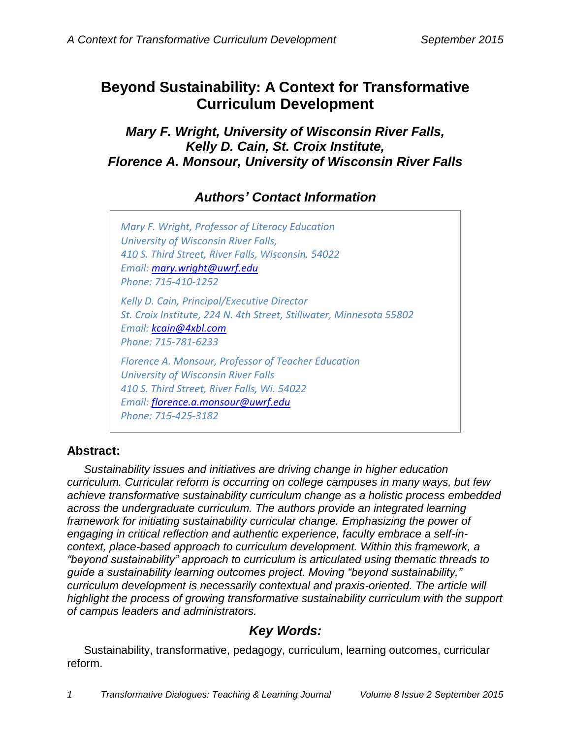# **Beyond Sustainability: A Context for Transformative Curriculum Development**

*Mary F. Wright, University of Wisconsin River Falls, Kelly D. Cain, St. Croix Institute, Florence A. Monsour, University of Wisconsin River Falls*

# *Authors' Contact Information*

*Mary F. Wright, Professor of Literacy Education University of Wisconsin River Falls, 410 S. Third Street, River Falls, Wisconsin. 54022 Email: [mary.wright@uwrf.edu](mailto:mary.wright@uwrf.edu) Phone: 715-410-1252 Kelly D. Cain, Principal/Executive Director St. Croix Institute, 224 N. 4th Street, Stillwater, Minnesota 55802 Email: [kcain@4xbl.com](mailto:kcain@4xbl.com) Phone: 715-781-6233 Florence A. Monsour, Professor of Teacher Education University of Wisconsin River Falls 410 S. Third Street, River Falls, Wi. 54022 Email: [florence.a.monsour@uwrf.edu](mailto:florence.a.monsour@uwrf.edu)*

*Phone: 715-425-3182*

## **Abstract:**

*Sustainability issues and initiatives are driving change in higher education curriculum. Curricular reform is occurring on college campuses in many ways, but few achieve transformative sustainability curriculum change as a holistic process embedded across the undergraduate curriculum. The authors provide an integrated learning framework for initiating sustainability curricular change. Emphasizing the power of engaging in critical reflection and authentic experience, faculty embrace a self-incontext, place-based approach to curriculum development. Within this framework, a "beyond sustainability" approach to curriculum is articulated using thematic threads to guide a sustainability learning outcomes project. Moving "beyond sustainability," curriculum development is necessarily contextual and praxis-oriented. The article will highlight the process of growing transformative sustainability curriculum with the support of campus leaders and administrators.*

## *Key Words:*

Sustainability, transformative, pedagogy, curriculum, learning outcomes, curricular reform.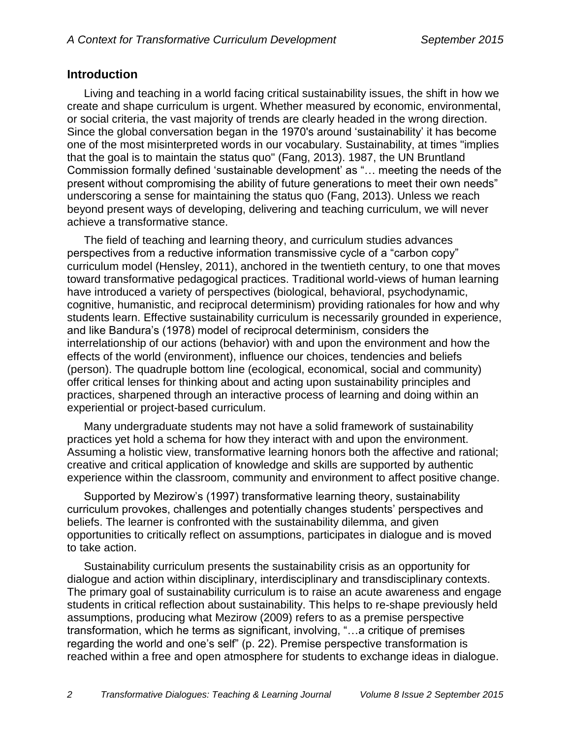### **Introduction**

Living and teaching in a world facing critical sustainability issues, the shift in how we create and shape curriculum is urgent. Whether measured by economic, environmental, or social criteria, the vast majority of trends are clearly headed in the wrong direction. Since the global conversation began in the 1970's around 'sustainability' it has become one of the most misinterpreted words in our vocabulary. Sustainability, at times "implies that the goal is to maintain the status quo" (Fang, 2013). 1987, the UN Bruntland Commission formally defined 'sustainable development' as "… meeting the needs of the present without compromising the ability of future generations to meet their own needs" underscoring a sense for maintaining the status quo (Fang, 2013). Unless we reach beyond present ways of developing, delivering and teaching curriculum, we will never achieve a transformative stance.

The field of teaching and learning theory, and curriculum studies advances perspectives from a reductive information transmissive cycle of a "carbon copy" curriculum model (Hensley, 2011), anchored in the twentieth century, to one that moves toward transformative pedagogical practices. Traditional world-views of human learning have introduced a variety of perspectives (biological, behavioral, psychodynamic, cognitive, humanistic, and reciprocal determinism) providing rationales for how and why students learn. Effective sustainability curriculum is necessarily grounded in experience, and like Bandura's (1978) model of reciprocal determinism, considers the interrelationship of our actions (behavior) with and upon the environment and how the effects of the world (environment), influence our choices, tendencies and beliefs (person). The quadruple bottom line (ecological, economical, social and community) offer critical lenses for thinking about and acting upon sustainability principles and practices, sharpened through an interactive process of learning and doing within an experiential or project-based curriculum.

Many undergraduate students may not have a solid framework of sustainability practices yet hold a schema for how they interact with and upon the environment. Assuming a holistic view, transformative learning honors both the affective and rational; creative and critical application of knowledge and skills are supported by authentic experience within the classroom, community and environment to affect positive change.

Supported by Mezirow's (1997) transformative learning theory, sustainability curriculum provokes, challenges and potentially changes students' perspectives and beliefs. The learner is confronted with the sustainability dilemma, and given opportunities to critically reflect on assumptions, participates in dialogue and is moved to take action.

Sustainability curriculum presents the sustainability crisis as an opportunity for dialogue and action within disciplinary, interdisciplinary and transdisciplinary contexts. The primary goal of sustainability curriculum is to raise an acute awareness and engage students in critical reflection about sustainability. This helps to re-shape previously held assumptions, producing what Mezirow (2009) refers to as a premise perspective transformation, which he terms as significant, involving, "…a critique of premises regarding the world and one's self" (p. 22). Premise perspective transformation is reached within a free and open atmosphere for students to exchange ideas in dialogue.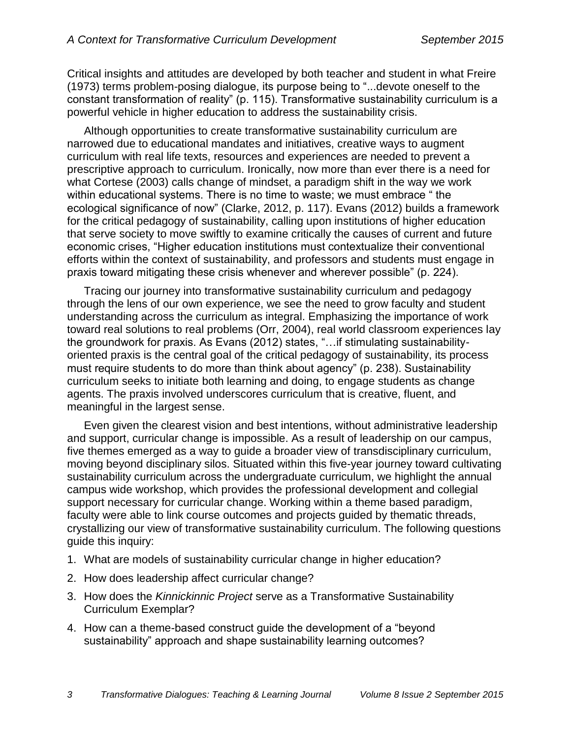Critical insights and attitudes are developed by both teacher and student in what Freire (1973) terms problem-posing dialogue, its purpose being to "...devote oneself to the constant transformation of reality" (p. 115). Transformative sustainability curriculum is a powerful vehicle in higher education to address the sustainability crisis.

Although opportunities to create transformative sustainability curriculum are narrowed due to educational mandates and initiatives, creative ways to augment curriculum with real life texts, resources and experiences are needed to prevent a prescriptive approach to curriculum. Ironically, now more than ever there is a need for what Cortese (2003) calls change of mindset, a paradigm shift in the way we work within educational systems. There is no time to waste; we must embrace " the ecological significance of now" (Clarke, 2012, p. 117). Evans (2012) builds a framework for the critical pedagogy of sustainability, calling upon institutions of higher education that serve society to move swiftly to examine critically the causes of current and future economic crises, "Higher education institutions must contextualize their conventional efforts within the context of sustainability, and professors and students must engage in praxis toward mitigating these crisis whenever and wherever possible" (p. 224).

Tracing our journey into transformative sustainability curriculum and pedagogy through the lens of our own experience, we see the need to grow faculty and student understanding across the curriculum as integral. Emphasizing the importance of work toward real solutions to real problems (Orr, 2004), real world classroom experiences lay the groundwork for praxis. As Evans (2012) states, "…if stimulating sustainabilityoriented praxis is the central goal of the critical pedagogy of sustainability, its process must require students to do more than think about agency" (p. 238). Sustainability curriculum seeks to initiate both learning and doing, to engage students as change agents. The praxis involved underscores curriculum that is creative, fluent, and meaningful in the largest sense.

Even given the clearest vision and best intentions, without administrative leadership and support, curricular change is impossible. As a result of leadership on our campus, five themes emerged as a way to guide a broader view of transdisciplinary curriculum, moving beyond disciplinary silos. Situated within this five-year journey toward cultivating sustainability curriculum across the undergraduate curriculum, we highlight the annual campus wide workshop, which provides the professional development and collegial support necessary for curricular change. Working within a theme based paradigm, faculty were able to link course outcomes and projects guided by thematic threads, crystallizing our view of transformative sustainability curriculum. The following questions guide this inquiry:

- 1. What are models of sustainability curricular change in higher education?
- 2. How does leadership affect curricular change?
- 3. How does the *Kinnickinnic Project* serve as a Transformative Sustainability Curriculum Exemplar?
- 4. How can a theme-based construct guide the development of a "beyond sustainability" approach and shape sustainability learning outcomes?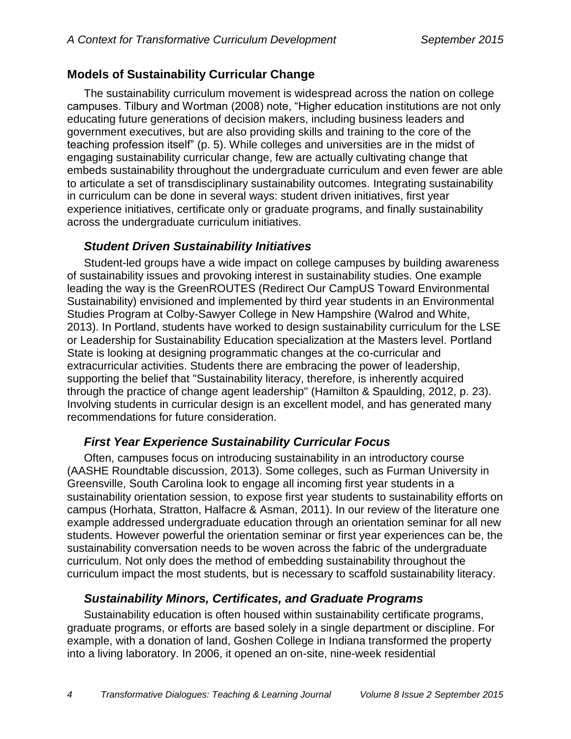### **Models of Sustainability Curricular Change**

The sustainability curriculum movement is widespread across the nation on college campuses. Tilbury and Wortman (2008) note, "Higher education institutions are not only educating future generations of decision makers, including business leaders and government executives, but are also providing skills and training to the core of the teaching profession itself" (p. 5). While colleges and universities are in the midst of engaging sustainability curricular change, few are actually cultivating change that embeds sustainability throughout the undergraduate curriculum and even fewer are able to articulate a set of transdisciplinary sustainability outcomes. Integrating sustainability in curriculum can be done in several ways: student driven initiatives, first year experience initiatives, certificate only or graduate programs, and finally sustainability across the undergraduate curriculum initiatives.

### *Student Driven Sustainability Initiatives*

Student-led groups have a wide impact on college campuses by building awareness of sustainability issues and provoking interest in sustainability studies. One example leading the way is the GreenROUTES (Redirect Our CampUS Toward Environmental Sustainability) envisioned and implemented by third year students in an Environmental Studies Program at Colby-Sawyer College in New Hampshire (Walrod and White, 2013). In Portland, students have worked to design sustainability curriculum for the LSE or Leadership for Sustainability Education specialization at the Masters level. Portland State is looking at designing programmatic changes at the co-curricular and extracurricular activities. Students there are embracing the power of leadership, supporting the belief that "Sustainability literacy, therefore, is inherently acquired through the practice of change agent leadership" (Hamilton & Spaulding, 2012, p. 23). Involving students in curricular design is an excellent model, and has generated many recommendations for future consideration.

## *First Year Experience Sustainability Curricular Focus*

Often, campuses focus on introducing sustainability in an introductory course (AASHE Roundtable discussion, 2013). Some colleges, such as Furman University in Greensville, South Carolina look to engage all incoming first year students in a sustainability orientation session, to expose first year students to sustainability efforts on campus (Horhata, Stratton, Halfacre & Asman, 2011). In our review of the literature one example addressed undergraduate education through an orientation seminar for all new students. However powerful the orientation seminar or first year experiences can be, the sustainability conversation needs to be woven across the fabric of the undergraduate curriculum. Not only does the method of embedding sustainability throughout the curriculum impact the most students, but is necessary to scaffold sustainability literacy.

## *Sustainability Minors, Certificates, and Graduate Programs*

Sustainability education is often housed within sustainability certificate programs, graduate programs, or efforts are based solely in a single department or discipline. For example, with a donation of land, Goshen College in Indiana transformed the property into a living laboratory. In 2006, it opened an on-site, nine-week residential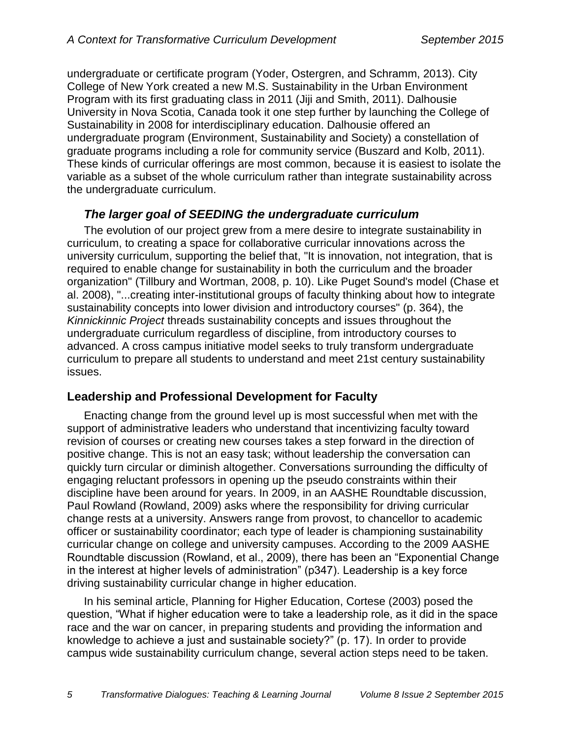undergraduate or certificate program (Yoder, Ostergren, and Schramm, 2013). City College of New York created a new M.S. Sustainability in the Urban Environment Program with its first graduating class in 2011 (Jiji and Smith, 2011). Dalhousie University in Nova Scotia, Canada took it one step further by launching the College of Sustainability in 2008 for interdisciplinary education. Dalhousie offered an undergraduate program (Environment, Sustainability and Society) a constellation of graduate programs including a role for community service (Buszard and Kolb, 2011). These kinds of curricular offerings are most common, because it is easiest to isolate the variable as a subset of the whole curriculum rather than integrate sustainability across the undergraduate curriculum.

## *The larger goal of SEEDING the undergraduate curriculum*

The evolution of our project grew from a mere desire to integrate sustainability in curriculum, to creating a space for collaborative curricular innovations across the university curriculum, supporting the belief that, "It is innovation, not integration, that is required to enable change for sustainability in both the curriculum and the broader organization" (Tillbury and Wortman, 2008, p. 10). Like Puget Sound's model (Chase et al. 2008), "...creating inter-institutional groups of faculty thinking about how to integrate sustainability concepts into lower division and introductory courses" (p. 364), the *Kinnickinnic Project* threads sustainability concepts and issues throughout the undergraduate curriculum regardless of discipline, from introductory courses to advanced. A cross campus initiative model seeks to truly transform undergraduate curriculum to prepare all students to understand and meet 21st century sustainability issues.

## **Leadership and Professional Development for Faculty**

Enacting change from the ground level up is most successful when met with the support of administrative leaders who understand that incentivizing faculty toward revision of courses or creating new courses takes a step forward in the direction of positive change. This is not an easy task; without leadership the conversation can quickly turn circular or diminish altogether. Conversations surrounding the difficulty of engaging reluctant professors in opening up the pseudo constraints within their discipline have been around for years. In 2009, in an AASHE Roundtable discussion, Paul Rowland (Rowland, 2009) asks where the responsibility for driving curricular change rests at a university. Answers range from provost, to chancellor to academic officer or sustainability coordinator; each type of leader is championing sustainability curricular change on college and university campuses. According to the 2009 AASHE Roundtable discussion (Rowland, et al., 2009), there has been an "Exponential Change in the interest at higher levels of administration" (p347). Leadership is a key force driving sustainability curricular change in higher education.

In his seminal article, Planning for Higher Education, Cortese (2003) posed the question, "What if higher education were to take a leadership role, as it did in the space race and the war on cancer, in preparing students and providing the information and knowledge to achieve a just and sustainable society?" (p. 17). In order to provide campus wide sustainability curriculum change, several action steps need to be taken.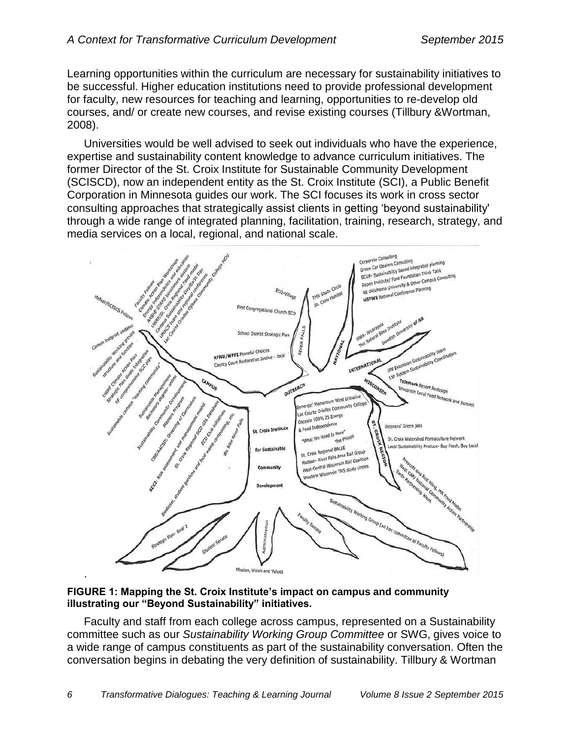Learning opportunities within the curriculum are necessary for sustainability initiatives to be successful. Higher education institutions need to provide professional development for faculty, new resources for teaching and learning, opportunities to re-develop old courses, and/ or create new courses, and revise existing courses (Tillbury &Wortman, 2008).

Universities would be well advised to seek out individuals who have the experience, expertise and sustainability content knowledge to advance curriculum initiatives. The former Director of the St. Croix Institute for Sustainable Community Development (SCISCD), now an independent entity as the [St. Croix Institute](http://www.stcroixinstitute.com/) (SCI), a Public Benefit Corporation in Minnesota guides our work. The SCI focuses its work in cross sector consulting approaches that strategically assist clients in getting 'beyond sustainability' through a wide range of integrated planning, facilitation, training, research, strategy, and media services on a local, regional, and national scale.



**FIGURE 1: Mapping the St. Croix Institute's impact on campus and community illustrating our "Beyond Sustainability" initiatives.**

Faculty and staff from each college across campus, represented on a Sustainability committee such as our *[Sustainability Working Group Committee](http://www.uwrf.edu/sciscd/workgroup.cfm)* or SWG, gives voice to a wide range of campus constituents as part of the sustainability conversation. Often the conversation begins in debating the very definition of sustainability. Tillbury & Wortman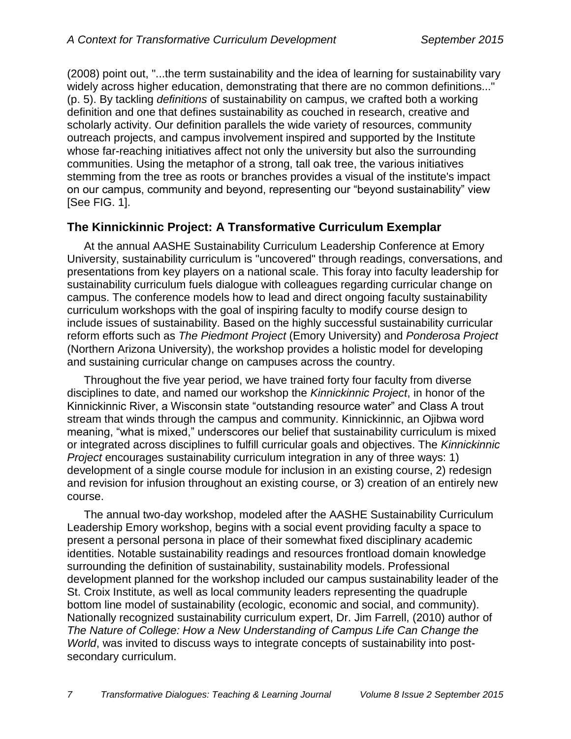(2008) point out, "...the term sustainability and the idea of learning for sustainability vary widely across higher education, demonstrating that there are no common definitions..." (p. 5). By tackling *[definitions](http://www.uwrf.edu/SCISCD/upload/UWRF-Sustainability-Definitions.pdf)* of sustainability on campus, we crafted both a working definition and one that defines sustainability as couched in research, creative and scholarly activity. Our definition parallels the wide variety of resources, community outreach projects, and campus involvement inspired and supported by the Institute whose far-reaching initiatives affect not only the university but also the surrounding communities. Using the metaphor of a strong, tall oak tree, the various initiatives stemming from the tree as roots or branches provides a visual of the institute's impact on our campus, community and beyond, representing our "beyond sustainability" view [See FIG. 1].

## **The Kinnickinnic Project: A Transformative Curriculum Exemplar**

At the annual AASHE Sustainability Curriculum Leadership Conference at Emory University, sustainability curriculum is "uncovered" through readings, conversations, and presentations from key players on a national scale. This foray into faculty leadership for sustainability curriculum fuels dialogue with colleagues regarding curricular change on campus. The conference models how to lead and direct ongoing faculty sustainability curriculum workshops with the goal of inspiring faculty to modify course design to include issues of sustainability. Based on the highly successful sustainability curricular reform efforts such as *[The Piedmont](http://piedmont.emory.edu/) Project* (Emory University) and *[Ponderosa Project](http://www2.nau.edu/~ponder-p/)* (Northern Arizona University), the workshop provides a holistic model for developing and sustaining curricular change on campuses across the country.

Throughout the five year period, we have trained forty four faculty from diverse disciplines to date, and named our workshop the *Kinnickinnic Project*, in honor of the Kinnickinnic River, a Wisconsin state "outstanding resource water" and Class A trout stream that winds through the campus and community. Kinnickinnic, an Ojibwa word meaning, "what is mixed," underscores our belief that sustainability curriculum is mixed or integrated across disciplines to fulfill curricular goals and objectives. The *Kinnickinnic Project* encourages sustainability curriculum integration in any of three ways: 1) development of a single course module for inclusion in an existing course, 2) redesign and revision for infusion throughout an existing course, or 3) creation of an entirely new course.

The annual two-day workshop, modeled after the AASHE Sustainability Curriculum Leadership Emory workshop, begins with a social event providing faculty a space to present a personal persona in place of their somewhat fixed disciplinary academic identities. Notable sustainability readings and resources frontload domain knowledge surrounding the definition of sustainability, sustainability models. Professional development planned for the workshop included our campus sustainability leader of the St. Croix Institute, as well as local community leaders representing the quadruple bottom line model of sustainability (ecologic, economic and social, and community). Nationally recognized sustainability curriculum expert, Dr. Jim Farrell, (2010) author of *The Nature of College: How a New Understanding of Campus Life Can Change the World*, was invited to discuss ways to integrate concepts of sustainability into postsecondary curriculum.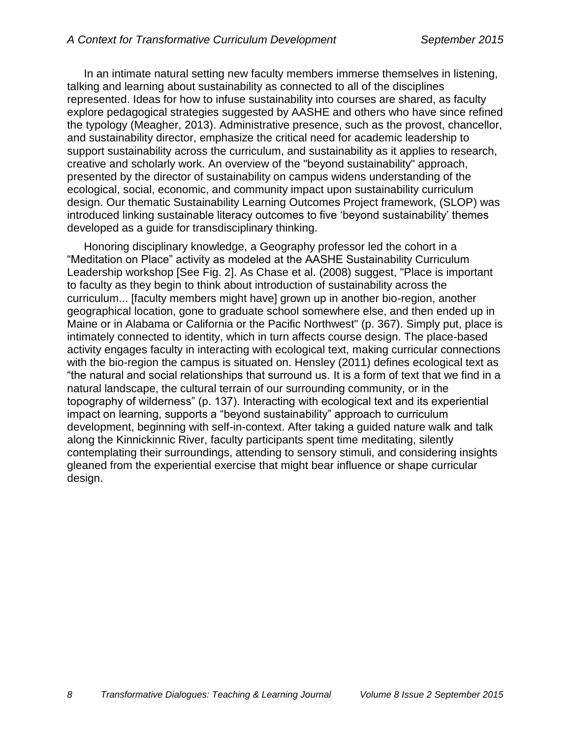In an intimate natural setting new faculty members immerse themselves in listening, talking and learning about sustainability as connected to all of the disciplines represented. Ideas for how to infuse sustainability into courses are shared, as faculty explore pedagogical strategies suggested by AASHE and others who have since refined the typology (Meagher, 2013). Administrative presence, such as the provost, chancellor, and sustainability director, emphasize the critical need for academic leadership to support sustainability across the curriculum, and sustainability as it applies to research, creative and scholarly work. An overview of the "beyond sustainability" approach, presented by the director of sustainability on campus widens understanding of the ecological, social, economic, and community impact upon sustainability curriculum design. Our thematic Sustainability Learning Outcomes Project framework, (SLOP) was introduced linking sustainable literacy outcomes to five 'beyond sustainability' themes developed as a guide for transdisciplinary thinking.

Honoring disciplinary knowledge, a Geography professor led the cohort in a "Meditation on Place" activity as modeled at the AASHE Sustainability Curriculum Leadership workshop [See Fig. 2]. As Chase et al. (2008) suggest, "Place is important to faculty as they begin to think about introduction of sustainability across the curriculum... [faculty members might have] grown up in another bio-region, another geographical location, gone to graduate school somewhere else, and then ended up in Maine or in Alabama or California or the Pacific Northwest" (p. 367). Simply put, place is intimately connected to identity, which in turn affects course design. The place-based activity engages faculty in interacting with ecological text, making curricular connections with the bio-region the campus is situated on. Hensley (2011) defines ecological text as "the natural and social relationships that surround us. It is a form of text that we find in a natural landscape, the cultural terrain of our surrounding community, or in the topography of wilderness" (p. 137). Interacting with ecological text and its experiential impact on learning, supports a "beyond sustainability" approach to curriculum development, beginning with self-in-context. After taking a guided nature walk and talk along the Kinnickinnic River, faculty participants spent time meditating, silently contemplating their surroundings, attending to sensory stimuli, and considering insights gleaned from the experiential exercise that might bear influence or shape curricular design.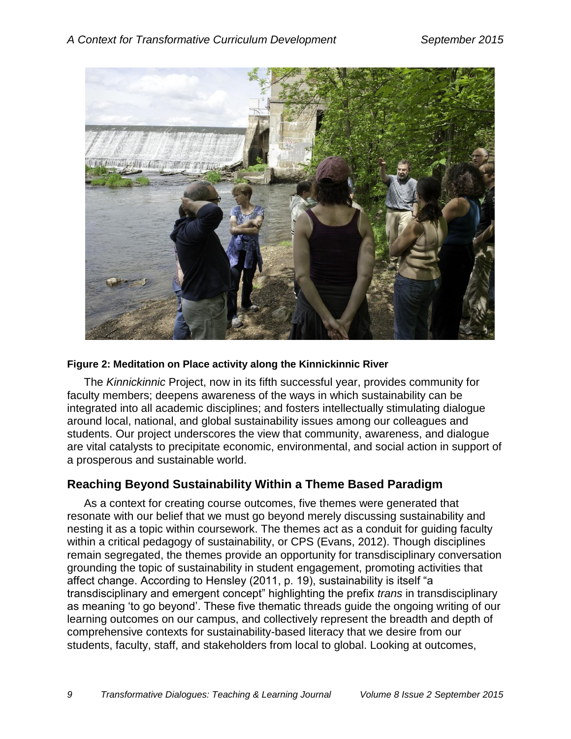

### **Figure 2: Meditation on Place activity along the Kinnickinnic River**

The *Kinnickinnic* Project, now in its fifth successful year, provides community for faculty members; deepens awareness of the ways in which sustainability can be integrated into all academic disciplines; and fosters intellectually stimulating dialogue around local, national, and global sustainability issues among our colleagues and students. Our project underscores the view that community, awareness, and dialogue are vital catalysts to precipitate economic, environmental, and social action in support of a prosperous and sustainable world.

## **Reaching Beyond Sustainability Within a Theme Based Paradigm**

As a context for creating course outcomes, five themes were generated that resonate with our belief that we must go beyond merely discussing sustainability and nesting it as a topic within coursework. The themes act as a conduit for guiding faculty within a critical pedagogy of sustainability, or CPS (Evans, 2012). Though disciplines remain segregated, the themes provide an opportunity for transdisciplinary conversation grounding the topic of sustainability in student engagement, promoting activities that affect change. According to Hensley (2011, p. 19), sustainability is itself "a transdisciplinary and emergent concept" highlighting the prefix *trans* in transdisciplinary as meaning 'to go beyond'. These five thematic threads guide the ongoing writing of our learning outcomes on our campus, and collectively represent the breadth and depth of comprehensive contexts for sustainability-based literacy that we desire from our students, faculty, staff, and stakeholders from local to global. Looking at outcomes,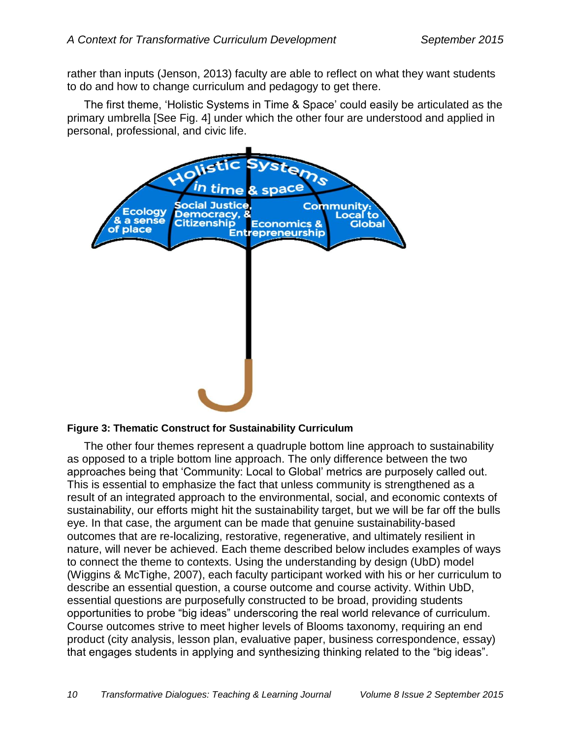rather than inputs (Jenson, 2013) faculty are able to reflect on what they want students to do and how to change curriculum and pedagogy to get there.

The first theme, 'Holistic Systems in Time & Space' could easily be articulated as the primary umbrella [See Fig. 4] under which the other four are understood and applied in personal, professional, and civic life.



#### **Figure 3: Thematic Construct for Sustainability Curriculum**

The other four themes represent a quadruple bottom line approach to sustainability as opposed to a triple bottom line approach. The only difference between the two approaches being that 'Community: Local to Global' metrics are purposely called out. This is essential to emphasize the fact that unless community is strengthened as a result of an integrated approach to the environmental, social, and economic contexts of sustainability, our efforts might hit the sustainability target, but we will be far off the bulls eye. In that case, the argument can be made that genuine sustainability-based outcomes that are re-localizing, restorative, regenerative, and ultimately resilient in nature, will never be achieved. Each theme described below includes examples of ways to connect the theme to contexts. Using the understanding by design (UbD) model (Wiggins & McTighe, 2007), each faculty participant worked with his or her curriculum to describe an essential question, a course outcome and course activity. Within UbD, essential questions are purposefully constructed to be broad, providing students opportunities to probe "big ideas" underscoring the real world relevance of curriculum. Course outcomes strive to meet higher levels of Blooms taxonomy, requiring an end product (city analysis, lesson plan, evaluative paper, business correspondence, essay) that engages students in applying and synthesizing thinking related to the "big ideas".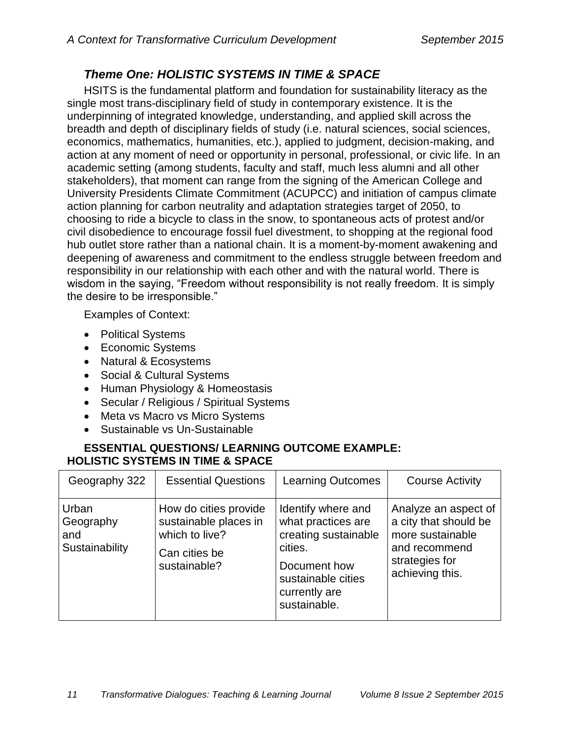## *Theme One: HOLISTIC SYSTEMS IN TIME & SPACE*

HSITS is the fundamental platform and foundation for sustainability literacy as the single most trans-disciplinary field of study in contemporary existence. It is the underpinning of integrated knowledge, understanding, and applied skill across the breadth and depth of disciplinary fields of study (i.e. natural sciences, social sciences, economics, mathematics, humanities, etc.), applied to judgment, decision-making, and action at any moment of need or opportunity in personal, professional, or civic life. In an academic setting (among students, faculty and staff, much less alumni and all other stakeholders), that moment can range from the signing of the American College and University Presidents Climate Commitment (ACUPCC) and initiation of campus climate action planning for carbon neutrality and adaptation strategies target of 2050, to choosing to ride a bicycle to class in the snow, to spontaneous acts of protest and/or civil disobedience to encourage fossil fuel divestment, to shopping at the regional food hub outlet store rather than a national chain. It is a moment-by-moment awakening and deepening of awareness and commitment to the endless struggle between freedom and responsibility in our relationship with each other and with the natural world. There is wisdom in the saying, "Freedom without responsibility is not really freedom. It is simply the desire to be irresponsible."

Examples of Context:

- Political Systems
- Economic Systems
- Natural & Ecosystems
- Social & Cultural Systems
- Human Physiology & Homeostasis
- Secular / Religious / Spiritual Systems
- Meta vs Macro vs Micro Systems
- Sustainable vs Un-Sustainable

## **ESSENTIAL QUESTIONS/ LEARNING OUTCOME EXAMPLE: HOLISTIC SYSTEMS IN TIME & SPACE**

| Geography 322                               | <b>Essential Questions</b>                                                                        | <b>Learning Outcomes</b>                                                                                                                           | <b>Course Activity</b>                                                                                                  |
|---------------------------------------------|---------------------------------------------------------------------------------------------------|----------------------------------------------------------------------------------------------------------------------------------------------------|-------------------------------------------------------------------------------------------------------------------------|
| Urban<br>Geography<br>and<br>Sustainability | How do cities provide<br>sustainable places in<br>which to live?<br>Can cities be<br>sustainable? | Identify where and<br>what practices are<br>creating sustainable<br>cities.<br>Document how<br>sustainable cities<br>currently are<br>sustainable. | Analyze an aspect of<br>a city that should be<br>more sustainable<br>and recommend<br>strategies for<br>achieving this. |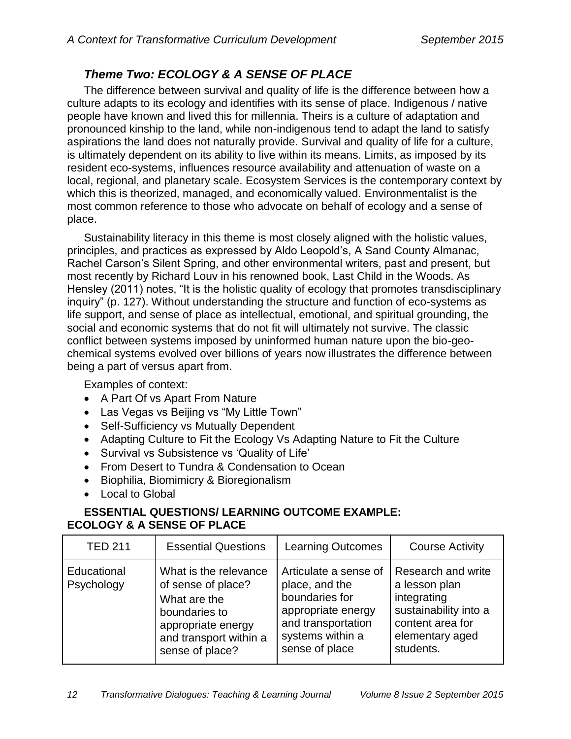## *Theme Two: ECOLOGY & A SENSE OF PLACE*

The difference between survival and quality of life is the difference between how a culture adapts to its ecology and identifies with its sense of place. Indigenous / native people have known and lived this for millennia. Theirs is a culture of adaptation and pronounced kinship to the land, while non-indigenous tend to adapt the land to satisfy aspirations the land does not naturally provide. Survival and quality of life for a culture, is ultimately dependent on its ability to live within its means. Limits, as imposed by its resident eco-systems, influences resource availability and attenuation of waste on a local, regional, and planetary scale. Ecosystem Services is the contemporary context by which this is theorized, managed, and economically valued. Environmentalist is the most common reference to those who advocate on behalf of ecology and a sense of place.

Sustainability literacy in this theme is most closely aligned with the holistic values, principles, and practices as expressed by Aldo Leopold's, A Sand County Almanac, Rachel Carson's Silent Spring, and other environmental writers, past and present, but most recently by Richard Louv in his renowned book, Last Child in the Woods. As Hensley (2011) notes, "It is the holistic quality of ecology that promotes transdisciplinary inquiry" (p. 127). Without understanding the structure and function of eco-systems as life support, and sense of place as intellectual, emotional, and spiritual grounding, the social and economic systems that do not fit will ultimately not survive. The classic conflict between systems imposed by uninformed human nature upon the bio-geochemical systems evolved over billions of years now illustrates the difference between being a part of versus apart from.

Examples of context:

- A Part Of vs Apart From Nature
- Las Vegas vs Beijing vs "My Little Town"
- Self-Sufficiency vs Mutually Dependent
- Adapting Culture to Fit the Ecology Vs Adapting Nature to Fit the Culture
- Survival vs Subsistence vs 'Quality of Life'
- From Desert to Tundra & Condensation to Ocean
- Biophilia, Biomimicry & Bioregionalism
- Local to Global

## **ESSENTIAL QUESTIONS/ LEARNING OUTCOME EXAMPLE: ECOLOGY & A SENSE OF PLACE**

| <b>TED 211</b>            | <b>Essential Questions</b>                                                                                                                      | <b>Learning Outcomes</b>                                                                                                                    | <b>Course Activity</b>                                                                                                          |
|---------------------------|-------------------------------------------------------------------------------------------------------------------------------------------------|---------------------------------------------------------------------------------------------------------------------------------------------|---------------------------------------------------------------------------------------------------------------------------------|
| Educational<br>Psychology | What is the relevance<br>of sense of place?<br>What are the<br>boundaries to<br>appropriate energy<br>and transport within a<br>sense of place? | Articulate a sense of<br>place, and the<br>boundaries for<br>appropriate energy<br>and transportation<br>systems within a<br>sense of place | Research and write<br>a lesson plan<br>integrating<br>sustainability into a<br>content area for<br>elementary aged<br>students. |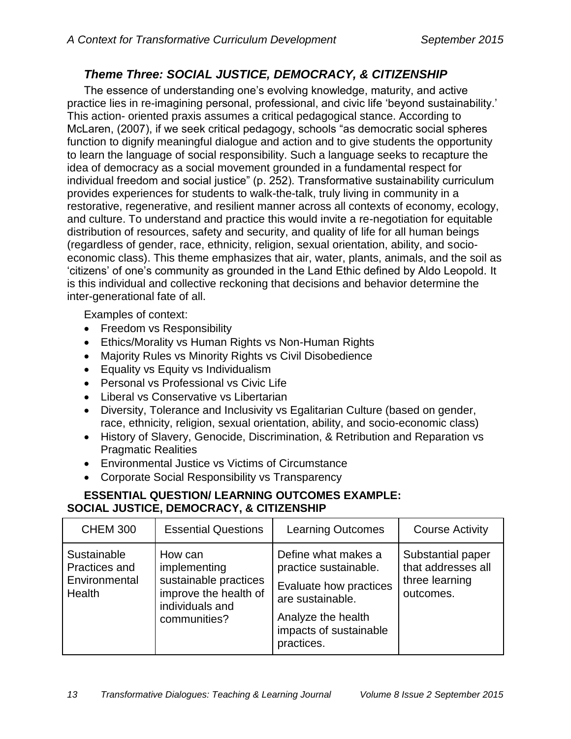## *Theme Three: SOCIAL JUSTICE, DEMOCRACY, & CITIZENSHIP*

The essence of understanding one's evolving knowledge, maturity, and active practice lies in re-imagining personal, professional, and civic life 'beyond sustainability.' This action- oriented praxis assumes a critical pedagogical stance. According to McLaren, (2007), if we seek critical pedagogy, schools "as democratic social spheres function to dignify meaningful dialogue and action and to give students the opportunity to learn the language of social responsibility. Such a language seeks to recapture the idea of democracy as a social movement grounded in a fundamental respect for individual freedom and social justice" (p. 252). Transformative sustainability curriculum provides experiences for students to walk-the-talk, truly living in community in a restorative, regenerative, and resilient manner across all contexts of economy, ecology, and culture. To understand and practice this would invite a re-negotiation for equitable distribution of resources, safety and security, and quality of life for all human beings (regardless of gender, race, ethnicity, religion, sexual orientation, ability, and socioeconomic class). This theme emphasizes that air, water, plants, animals, and the soil as 'citizens' of one's community as grounded in the Land Ethic defined by Aldo Leopold. It is this individual and collective reckoning that decisions and behavior determine the inter-generational fate of all.

Examples of context:

- Freedom vs Responsibility
- Ethics/Morality vs Human Rights vs Non-Human Rights
- Majority Rules vs Minority Rights vs Civil Disobedience
- Equality vs Equity vs Individualism
- Personal vs Professional vs Civic Life
- Liberal vs Conservative vs Libertarian
- Diversity, Tolerance and Inclusivity vs Egalitarian Culture (based on gender, race, ethnicity, religion, sexual orientation, ability, and socio-economic class)
- History of Slavery, Genocide, Discrimination, & Retribution and Reparation vs Pragmatic Realities
- Environmental Justice vs Victims of Circumstance
- Corporate Social Responsibility vs Transparency

## **ESSENTIAL QUESTION/ LEARNING OUTCOMES EXAMPLE: SOCIAL JUSTICE, DEMOCRACY, & CITIZENSHIP**

| <b>CHEM 300</b>                                         | <b>Essential Questions</b>                                                                                   | <b>Learning Outcomes</b>                                                                                                                                 | <b>Course Activity</b>                                                 |
|---------------------------------------------------------|--------------------------------------------------------------------------------------------------------------|----------------------------------------------------------------------------------------------------------------------------------------------------------|------------------------------------------------------------------------|
| Sustainable<br>Practices and<br>Environmental<br>Health | How can<br>implementing<br>sustainable practices<br>improve the health of<br>individuals and<br>communities? | Define what makes a<br>practice sustainable.<br>Evaluate how practices<br>are sustainable.<br>Analyze the health<br>impacts of sustainable<br>practices. | Substantial paper<br>that addresses all<br>three learning<br>outcomes. |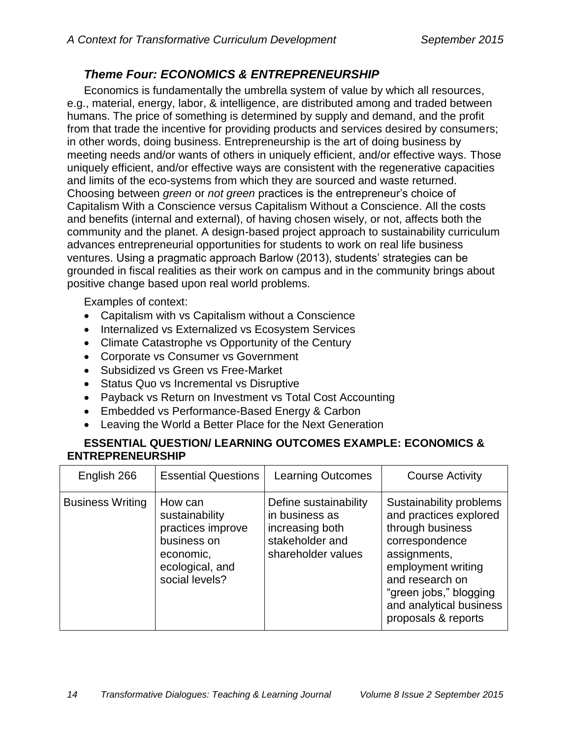## *Theme Four: ECONOMICS & ENTREPRENEURSHIP*

Economics is fundamentally the umbrella system of value by which all resources, e.g., material, energy, labor, & intelligence, are distributed among and traded between humans. The price of something is determined by supply and demand, and the profit from that trade the incentive for providing products and services desired by consumers; in other words, doing business. Entrepreneurship is the art of doing business by meeting needs and/or wants of others in uniquely efficient, and/or effective ways. Those uniquely efficient, and/or effective ways are consistent with the regenerative capacities and limits of the eco-systems from which they are sourced and waste returned. Choosing between *green* or *not green* practices is the entrepreneur's choice of Capitalism With a Conscience versus Capitalism Without a Conscience. All the costs and benefits (internal and external), of having chosen wisely, or not, affects both the community and the planet. A design-based project approach to sustainability curriculum advances entrepreneurial opportunities for students to work on real life business ventures. Using a pragmatic approach Barlow (2013), students' strategies can be grounded in fiscal realities as their work on campus and in the community brings about positive change based upon real world problems.

Examples of context:

- Capitalism with vs Capitalism without a Conscience
- Internalized vs Externalized vs Ecosystem Services
- Climate Catastrophe vs Opportunity of the Century
- Corporate vs Consumer vs Government
- Subsidized vs Green vs Free-Market
- Status Quo vs Incremental vs Disruptive
- Payback vs Return on Investment vs Total Cost Accounting
- Embedded vs Performance-Based Energy & Carbon
- Leaving the World a Better Place for the Next Generation

### **ESSENTIAL QUESTION/ LEARNING OUTCOMES EXAMPLE: ECONOMICS & ENTREPRENEURSHIP**

| English 266             | <b>Essential Questions</b>                                                                                      | <b>Learning Outcomes</b>                                                                            | <b>Course Activity</b>                                                                                                                                                                                                       |
|-------------------------|-----------------------------------------------------------------------------------------------------------------|-----------------------------------------------------------------------------------------------------|------------------------------------------------------------------------------------------------------------------------------------------------------------------------------------------------------------------------------|
| <b>Business Writing</b> | How can<br>sustainability<br>practices improve<br>business on<br>economic,<br>ecological, and<br>social levels? | Define sustainability<br>in business as<br>increasing both<br>stakeholder and<br>shareholder values | Sustainability problems<br>and practices explored<br>through business<br>correspondence<br>assignments,<br>employment writing<br>and research on<br>"green jobs," blogging<br>and analytical business<br>proposals & reports |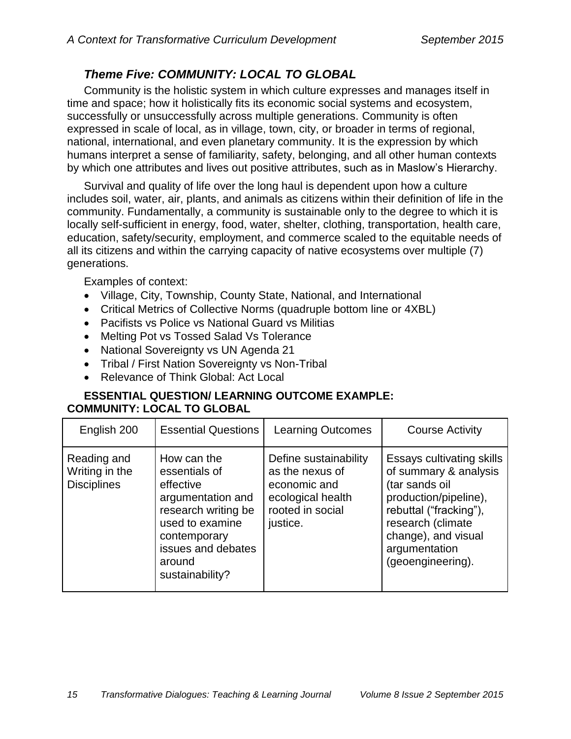## *Theme Five: COMMUNITY: LOCAL TO GLOBAL*

Community is the holistic system in which culture expresses and manages itself in time and space; how it holistically fits its economic social systems and ecosystem, successfully or unsuccessfully across multiple generations. Community is often expressed in scale of local, as in village, town, city, or broader in terms of regional, national, international, and even planetary community. It is the expression by which humans interpret a sense of familiarity, safety, belonging, and all other human contexts by which one attributes and lives out positive attributes, such as in Maslow's Hierarchy.

Survival and quality of life over the long haul is dependent upon how a culture includes soil, water, air, plants, and animals as citizens within their definition of life in the community. Fundamentally, a community is sustainable only to the degree to which it is locally self-sufficient in energy, food, water, shelter, clothing, transportation, health care, education, safety/security, employment, and commerce scaled to the equitable needs of all its citizens and within the carrying capacity of native ecosystems over multiple (7) generations.

Examples of context:

- Village, City, Township, County State, National, and International
- Critical Metrics of Collective Norms (quadruple bottom line or 4XBL)
- Pacifists vs Police vs National Guard vs Militias
- Melting Pot vs Tossed Salad Vs Tolerance
- National Sovereignty vs UN Agenda 21
- Tribal / First Nation Sovereignty vs Non-Tribal
- Relevance of Think Global: Act Local

### **ESSENTIAL QUESTION/ LEARNING OUTCOME EXAMPLE: COMMUNITY: LOCAL TO GLOBAL**

| English 200                                         | <b>Essential Questions</b>                                                                                                                                                  | <b>Learning Outcomes</b>                                                                                      | <b>Course Activity</b>                                                                                                                                                                                    |
|-----------------------------------------------------|-----------------------------------------------------------------------------------------------------------------------------------------------------------------------------|---------------------------------------------------------------------------------------------------------------|-----------------------------------------------------------------------------------------------------------------------------------------------------------------------------------------------------------|
| Reading and<br>Writing in the<br><b>Disciplines</b> | How can the<br>essentials of<br>effective<br>argumentation and<br>research writing be<br>used to examine<br>contemporary<br>issues and debates<br>around<br>sustainability? | Define sustainability<br>as the nexus of<br>economic and<br>ecological health<br>rooted in social<br>justice. | Essays cultivating skills<br>of summary & analysis<br>(tar sands oil<br>production/pipeline),<br>rebuttal ("fracking"),<br>research (climate<br>change), and visual<br>argumentation<br>(geoengineering). |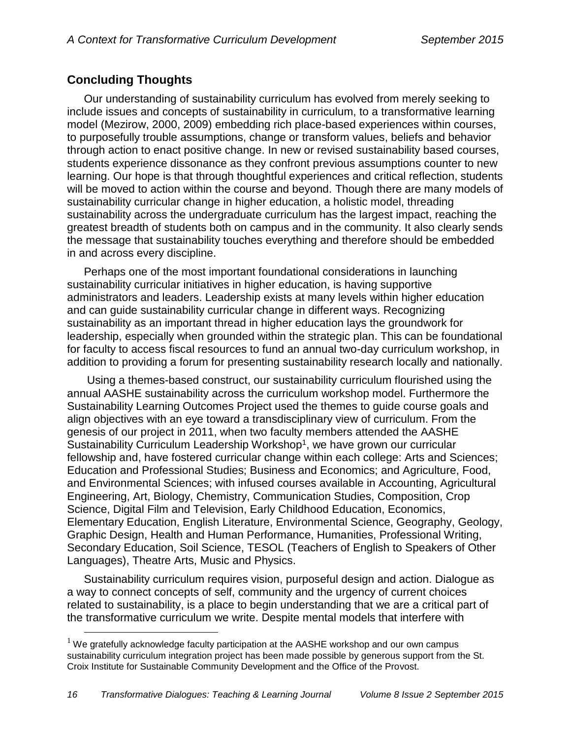## **Concluding Thoughts**

 $\overline{a}$ 

Our understanding of sustainability curriculum has evolved from merely seeking to include issues and concepts of sustainability in curriculum, to a transformative learning model (Mezirow, 2000, 2009) embedding rich place-based experiences within courses, to purposefully trouble assumptions, change or transform values, beliefs and behavior through action to enact positive change. In new or revised sustainability based courses, students experience dissonance as they confront previous assumptions counter to new learning. Our hope is that through thoughtful experiences and critical reflection, students will be moved to action within the course and beyond. Though there are many models of sustainability curricular change in higher education, a holistic model, threading sustainability across the undergraduate curriculum has the largest impact, reaching the greatest breadth of students both on campus and in the community. It also clearly sends the message that sustainability touches everything and therefore should be embedded in and across every discipline.

Perhaps one of the most important foundational considerations in launching sustainability curricular initiatives in higher education, is having supportive administrators and leaders. Leadership exists at many levels within higher education and can guide sustainability curricular change in different ways. Recognizing sustainability as an important thread in higher education lays the groundwork for leadership, especially when grounded within the strategic plan. This can be foundational for faculty to access fiscal resources to fund an annual two-day curriculum workshop, in addition to providing a forum for presenting sustainability research locally and nationally.

Using a themes-based construct, our sustainability curriculum flourished using the annual AASHE sustainability across the curriculum workshop model. Furthermore the Sustainability Learning Outcomes Project used the themes to guide course goals and align objectives with an eye toward a transdisciplinary view of curriculum. From the genesis of our project in 2011, when two faculty members attended the AASHE Sustainability Curriculum Leadership Workshop<sup>1</sup>, we have grown our curricular fellowship and, have fostered curricular change within each college: Arts and Sciences; Education and Professional Studies; Business and Economics; and Agriculture, Food, and Environmental Sciences; with infused courses available in Accounting, Agricultural Engineering, Art, Biology, Chemistry, Communication Studies, Composition, Crop Science, Digital Film and Television, Early Childhood Education, Economics, Elementary Education, English Literature, Environmental Science, Geography, Geology, Graphic Design, Health and Human Performance, Humanities, Professional Writing, Secondary Education, Soil Science, TESOL (Teachers of English to Speakers of Other Languages), Theatre Arts, Music and Physics.

Sustainability curriculum requires vision, purposeful design and action. Dialogue as a way to connect concepts of self, community and the urgency of current choices related to sustainability, is a place to begin understanding that we are a critical part of the transformative curriculum we write. Despite mental models that interfere with

 $<sup>1</sup>$  We gratefully acknowledge faculty participation at the AASHE workshop and our own campus</sup> sustainability curriculum integration project has been made possible by generous support from the St. Croix Institute for Sustainable Community Development and the Office of the Provost.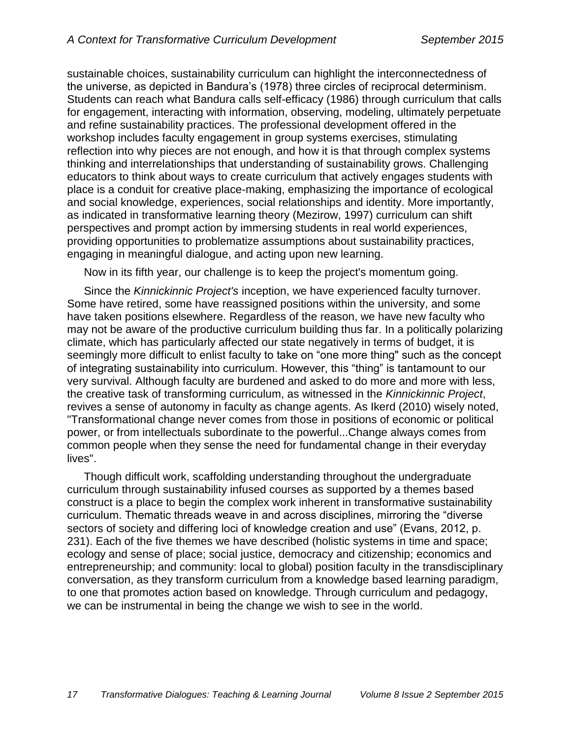sustainable choices, sustainability curriculum can highlight the interconnectedness of the universe, as depicted in Bandura's (1978) three circles of reciprocal determinism. Students can reach what Bandura calls self-efficacy (1986) through curriculum that calls for engagement, interacting with information, observing, modeling, ultimately perpetuate and refine sustainability practices. The professional development offered in the workshop includes faculty engagement in group systems exercises, stimulating reflection into why pieces are not enough, and how it is that through complex systems thinking and interrelationships that understanding of sustainability grows. Challenging educators to think about ways to create curriculum that actively engages students with place is a conduit for creative place-making, emphasizing the importance of ecological and social knowledge, experiences, social relationships and identity. More importantly, as indicated in transformative learning theory (Mezirow, 1997) curriculum can shift perspectives and prompt action by immersing students in real world experiences, providing opportunities to problematize assumptions about sustainability practices, engaging in meaningful dialogue, and acting upon new learning.

Now in its fifth year, our challenge is to keep the project's momentum going.

Since the *Kinnickinnic Project's* inception, we have experienced faculty turnover. Some have retired, some have reassigned positions within the university, and some have taken positions elsewhere. Regardless of the reason, we have new faculty who may not be aware of the productive curriculum building thus far. In a politically polarizing climate, which has particularly affected our state negatively in terms of budget, it is seemingly more difficult to enlist faculty to take on "one more thing" such as the concept of integrating sustainability into curriculum. However, this "thing" is tantamount to our very survival. Although faculty are burdened and asked to do more and more with less, the creative task of transforming curriculum, as witnessed in the *Kinnickinnic Project*, revives a sense of autonomy in faculty as change agents. As Ikerd (2010) wisely noted, "Transformational change never comes from those in positions of economic or political power, or from intellectuals subordinate to the powerful...Change always comes from common people when they sense the need for fundamental change in their everyday lives".

Though difficult work, scaffolding understanding throughout the undergraduate curriculum through sustainability infused courses as supported by a themes based construct is a place to begin the complex work inherent in transformative sustainability curriculum. Thematic threads weave in and across disciplines, mirroring the "diverse sectors of society and differing loci of knowledge creation and use" (Evans, 2012, p. 231). Each of the five themes we have described (holistic systems in time and space; ecology and sense of place; social justice, democracy and citizenship; economics and entrepreneurship; and community: local to global) position faculty in the transdisciplinary conversation, as they transform curriculum from a knowledge based learning paradigm, to one that promotes action based on knowledge. Through curriculum and pedagogy, we can be instrumental in being the change we wish to see in the world.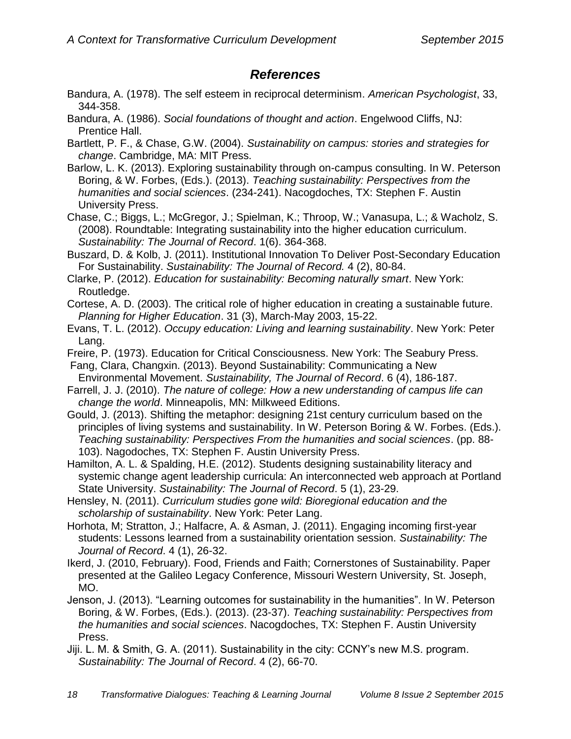## *References*

- Bandura, A. (1978). The self esteem in reciprocal determinism. *American Psychologist*, 33, 344-358.
- Bandura, A. (1986). *Social foundations of thought and action*. Engelwood Cliffs, NJ: Prentice Hall.
- Bartlett, P. F., & Chase, G.W. (2004). *Sustainability on campus: stories and strategies for change*. Cambridge, MA: MIT Press.
- Barlow, L. K. (2013). Exploring sustainability through on-campus consulting. In W. Peterson Boring, & W. Forbes, (Eds.). (2013). *Teaching sustainability: Perspectives from the humanities and social sciences*. (234-241). Nacogdoches, TX: Stephen F. Austin University Press.
- Chase, C.; Biggs, L.; McGregor, J.; Spielman, K.; Throop, W.; Vanasupa, L.; & Wacholz, S. (2008). Roundtable: Integrating sustainability into the higher education curriculum. *Sustainability: The Journal of Record*. 1(6). 364-368.
- Buszard, D. & Kolb, J. (2011). Institutional Innovation To Deliver Post-Secondary Education For Sustainability. *Sustainability: The Journal of Record.* 4 (2), 80-84.
- Clarke, P. (2012). *Education for sustainability: Becoming naturally smart*. New York: Routledge.
- Cortese, A. D. (2003). The critical role of higher education in creating a sustainable future. *Planning for Higher Education*. 31 (3), March-May 2003, 15-22.
- Evans, T. L. (2012). *Occupy education: Living and learning sustainability*. New York: Peter Lang.
- Freire, P. (1973). Education for Critical Consciousness. New York: The Seabury Press. Fang, Clara, Changxin. (2013). Beyond Sustainability: Communicating a New
- Environmental Movement. *Sustainability, The Journal of Record*. 6 (4), 186-187. Farrell, J. J. (2010). *The nature of college: How a new understanding of campus life can*
- *change the world*. Minneapolis, MN: Milkweed Editions.
- Gould, J. (2013). Shifting the metaphor: designing 21st century curriculum based on the principles of living systems and sustainability. In W. Peterson Boring & W. Forbes. (Eds.). *Teaching sustainability: Perspectives From the humanities and social sciences*. (pp. 88- 103). Nagodoches, TX: Stephen F. Austin University Press.
- Hamilton, A. L. & Spalding, H.E. (2012). Students designing sustainability literacy and systemic change agent leadership curricula: An interconnected web approach at Portland State University. *Sustainability: The Journal of Record*. 5 (1), 23-29.
- Hensley, N. (2011). *Curriculum studies gone wild: Bioregional education and the scholarship of sustainability*. New York: Peter Lang.
- Horhota, M; Stratton, J.; Halfacre, A. & Asman, J. (2011). Engaging incoming first-year students: Lessons learned from a sustainability orientation session. *Sustainability: The Journal of Record*. 4 (1), 26-32.
- Ikerd, J. (2010, February). Food, Friends and Faith; Cornerstones of Sustainability. Paper presented at the Galileo Legacy Conference, Missouri Western University, St. Joseph, MO.
- Jenson, J. (2013). "Learning outcomes for sustainability in the humanities". In W. Peterson Boring, & W. Forbes, (Eds.). (2013). (23-37). *Teaching sustainability: Perspectives from the humanities and social sciences*. Nacogdoches, TX: Stephen F. Austin University Press.
- Jiji. L. M. & Smith, G. A. (2011). Sustainability in the city: CCNY's new M.S. program. *Sustainability: The Journal of Record*. 4 (2), 66-70.